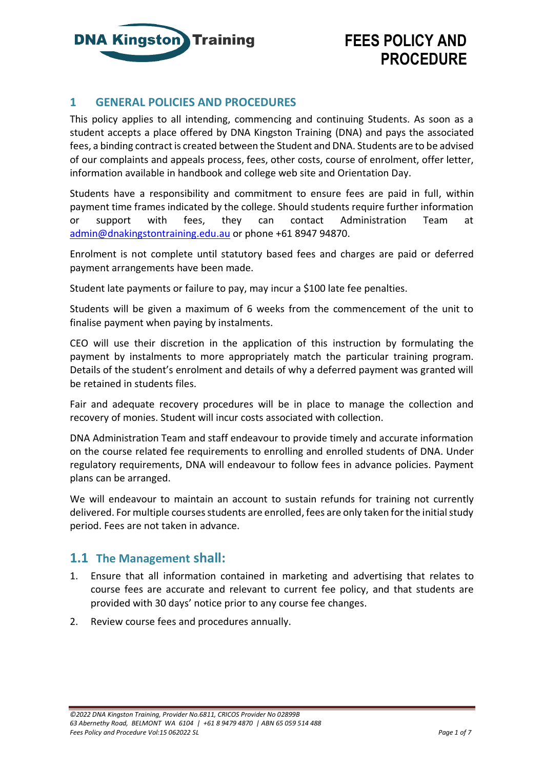

### **1 GENERAL POLICIES AND PROCEDURES**

This policy applies to all intending, commencing and continuing Students. As soon as a student accepts a place offered by DNA Kingston Training (DNA) and pays the associated fees, a binding contract is created between the Student and DNA. Students are to be advised of our complaints and appeals process, fees, other costs, course of enrolment, offer letter, information available in handbook and college web site and Orientation Day.

Students have a responsibility and commitment to ensure fees are paid in full, within payment time frames indicated by the college. Should students require further information or support with fees, they can contact Administration Team at [admin@dnakingstontraining.edu.au](mailto:admin@dnakingstontraining.edu.au) or phone +61 8947 94870.

Enrolment is not complete until statutory based fees and charges are paid or deferred payment arrangements have been made.

Student late payments or failure to pay, may incur a \$100 late fee penalties.

Students will be given a maximum of 6 weeks from the commencement of the unit to finalise payment when paying by instalments.

CEO will use their discretion in the application of this instruction by formulating the payment by instalments to more appropriately match the particular training program. Details of the student's enrolment and details of why a deferred payment was granted will be retained in students files.

Fair and adequate recovery procedures will be in place to manage the collection and recovery of monies. Student will incur costs associated with collection.

DNA Administration Team and staff endeavour to provide timely and accurate information on the course related fee requirements to enrolling and enrolled students of DNA. Under regulatory requirements, DNA will endeavour to follow fees in advance policies. Payment plans can be arranged.

We will endeavour to maintain an account to sustain refunds for training not currently delivered. For multiple courses students are enrolled, fees are only taken for the initial study period. Fees are not taken in advance.

### **1.1 The Management shall:**

- 1. Ensure that all information contained in marketing and advertising that relates to course fees are accurate and relevant to current fee policy, and that students are provided with 30 days' notice prior to any course fee changes.
- 2. Review course fees and procedures annually.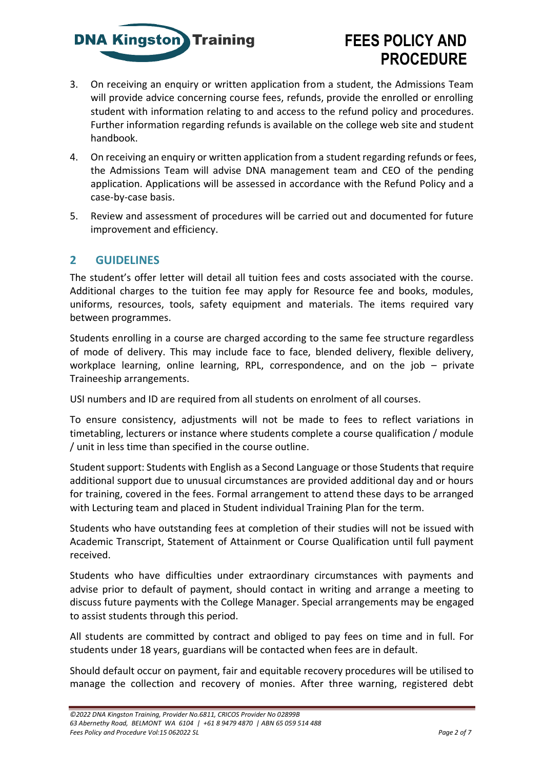

- 3. On receiving an enquiry or written application from a student, the Admissions Team will provide advice concerning course fees, refunds, provide the enrolled or enrolling student with information relating to and access to the refund policy and procedures. Further information regarding refunds is available on the college web site and student handbook.
- 4. On receiving an enquiry or written application from a student regarding refunds or fees, the Admissions Team will advise DNA management team and CEO of the pending application. Applications will be assessed in accordance with the Refund Policy and a case-by-case basis.
- 5. Review and assessment of procedures will be carried out and documented for future improvement and efficiency.

### **2 GUIDELINES**

The student's offer letter will detail all tuition fees and costs associated with the course. Additional charges to the tuition fee may apply for Resource fee and books, modules, uniforms, resources, tools, safety equipment and materials. The items required vary between programmes.

Students enrolling in a course are charged according to the same fee structure regardless of mode of delivery. This may include face to face, blended delivery, flexible delivery, workplace learning, online learning, RPL, correspondence, and on the job – private Traineeship arrangements.

USI numbers and ID are required from all students on enrolment of all courses.

To ensure consistency, adjustments will not be made to fees to reflect variations in timetabling, lecturers or instance where students complete a course qualification / module / unit in less time than specified in the course outline.

Student support: Students with English as a Second Language or those Students that require additional support due to unusual circumstances are provided additional day and or hours for training, covered in the fees. Formal arrangement to attend these days to be arranged with Lecturing team and placed in Student individual Training Plan for the term.

Students who have outstanding fees at completion of their studies will not be issued with Academic Transcript, Statement of Attainment or Course Qualification until full payment received.

Students who have difficulties under extraordinary circumstances with payments and advise prior to default of payment, should contact in writing and arrange a meeting to discuss future payments with the College Manager. Special arrangements may be engaged to assist students through this period.

All students are committed by contract and obliged to pay fees on time and in full. For students under 18 years, guardians will be contacted when fees are in default.

Should default occur on payment, fair and equitable recovery procedures will be utilised to manage the collection and recovery of monies. After three warning, registered debt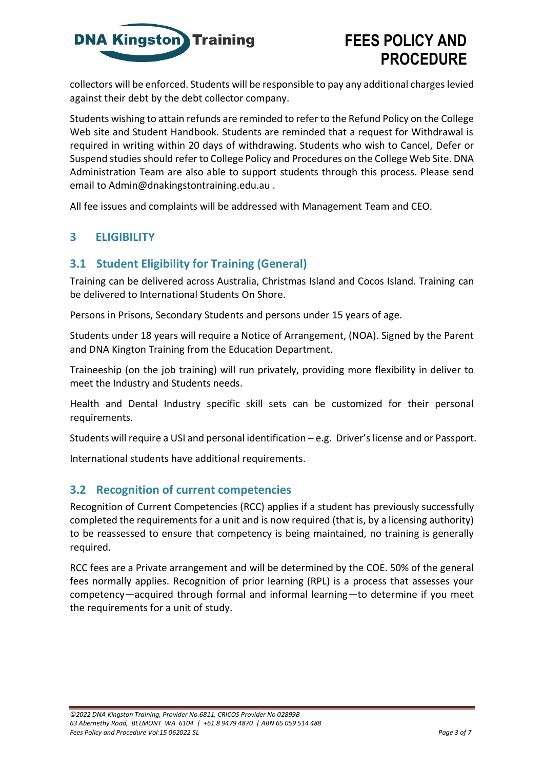

collectors will be enforced. Students will be responsible to pay any additional charges levied against their debt by the debt collector company.

Students wishing to attain refunds are reminded to refer to the Refund Policy on the College Web site and Student Handbook. Students are reminded that a request for Withdrawal is required in writing within 20 days of withdrawing. Students who wish to Cancel, Defer or Suspend studies should refer to College Policy and Procedures on the College Web Site. DNA Administration Team are also able to support students through this process. Please send email to Admin@dnakingstontraining.edu.au .

All fee issues and complaints will be addressed with Management Team and CEO.

### **3 ELIGIBILITY**

### **3.1 Student Eligibility for Training (General)**

Training can be delivered across Australia, Christmas Island and Cocos Island. Training can be delivered to International Students On Shore.

Persons in Prisons, Secondary Students and persons under 15 years of age.

Students under 18 years will require a Notice of Arrangement, (NOA). Signed by the Parent and DNA Kington Training from the Education Department.

Traineeship (on the job training) will run privately, providing more flexibility in deliver to meet the Industry and Students needs.

Health and Dental Industry specific skill sets can be customized for their personal requirements.

Students will require a USI and personal identification – e.g. Driver's license and or Passport.

International students have additional requirements.

### **3.2 Recognition of current competencies**

Recognition of Current Competencies (RCC) applies if a student has previously successfully completed the requirements for a unit and is now required (that is, by a licensing authority) to be reassessed to ensure that competency is being maintained, no training is generally required.

RCC fees are a Private arrangement and will be determined by the COE. 50% of the general fees normally applies. Recognition of prior learning (RPL) is a process that assesses your competency—acquired through formal and informal learning—to determine if you meet the requirements for a unit of study.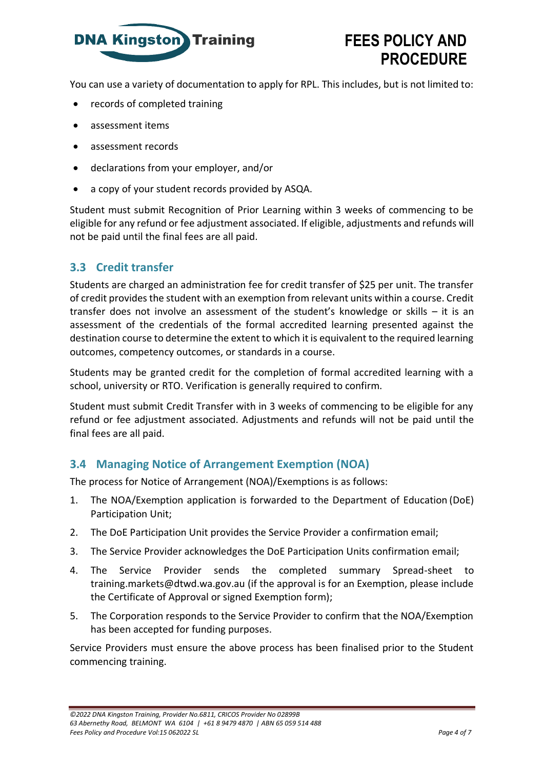

You can use a variety of documentation to apply for RPL. This includes, but is not limited to:

- records of completed training
- assessment items
- assessment records
- declarations from your employer, and/or
- a copy of your student records provided by ASQA.

Student must submit Recognition of Prior Learning within 3 weeks of commencing to be eligible for any refund or fee adjustment associated. If eligible, adjustments and refunds will not be paid until the final fees are all paid.

### **3.3 Credit transfer**

Students are charged an administration fee for credit transfer of \$25 per unit. The transfer of credit provides the student with an exemption from relevant units within a course. Credit transfer does not involve an assessment of the student's knowledge or skills – it is an assessment of the credentials of the formal accredited learning presented against the destination course to determine the extent to which it is equivalent to the required learning outcomes, competency outcomes, or standards in a course.

Students may be granted credit for the completion of formal accredited learning with a school, university or RTO. Verification is generally required to confirm.

Student must submit Credit Transfer with in 3 weeks of commencing to be eligible for any refund or fee adjustment associated. Adjustments and refunds will not be paid until the final fees are all paid.

### **3.4 Managing Notice of Arrangement Exemption (NOA)**

The process for Notice of Arrangement (NOA)/Exemptions is as follows:

- 1. The NOA/Exemption application is forwarded to the Department of Education (DoE) Participation Unit;
- 2. The DoE Participation Unit provides the Service Provider a confirmation email;
- 3. The Service Provider acknowledges the DoE Participation Units confirmation email;
- 4. The Service Provider sends the completed summary Spread-sheet t[o](mailto:training.markets@dtwd.wa.gov.au) [training.markets@dtwd.wa.gov.au \(](mailto:training.markets@dtwd.wa.gov.au)if the approval is for an Exemption, please include the Certificate of Approval or signed Exemption form);
- 5. The Corporation responds to the Service Provider to confirm that the NOA/Exemption has been accepted for funding purposes.

Service Providers must ensure the above process has been finalised prior to the Student commencing training.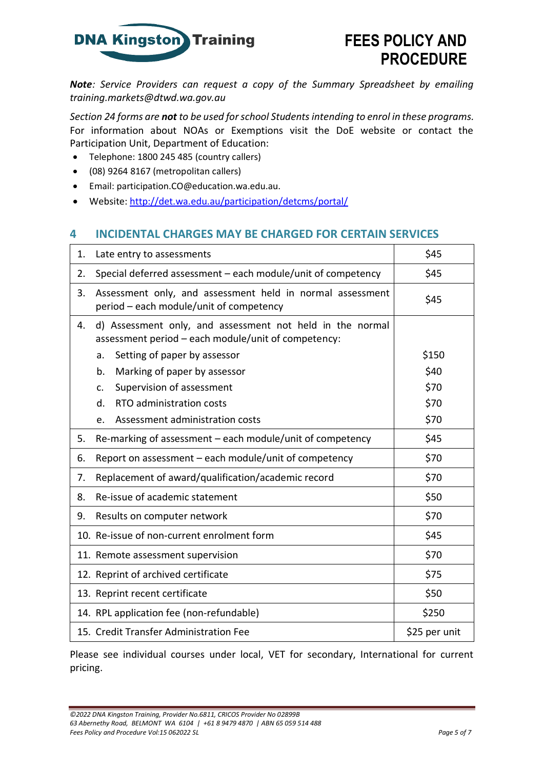

*Note: Service Providers can request a copy of the Summary Spreadsheet by emailing [training.markets@dtwd.wa.gov.au](mailto:training.markets@dtwd.wa.gov.au)*

*Section 24 forms are not to be used for school Students intending to enrol in these programs.*  For information about NOAs or Exemptions visit the DoE website or contact the Participation Unit, Department of Education:

- Telephone: 1800 245 485 (country callers)
- (08) 9264 8167 (metropolitan callers)
- Email: [participation.CO@education.wa.edu.au.](mailto:participation.CO@education.wa.edu.au)
- Website:<http://det.wa.edu.au/participation/detcms/portal/>

#### **4 INCIDENTAL CHARGES MAY BE CHARGED FOR CERTAIN SERVICES**

| 1. | Late entry to assessments                                                                                        | \$45          |  |
|----|------------------------------------------------------------------------------------------------------------------|---------------|--|
| 2. | Special deferred assessment - each module/unit of competency                                                     | \$45          |  |
| 3. | Assessment only, and assessment held in normal assessment<br>period - each module/unit of competency             | \$45          |  |
| 4. | d) Assessment only, and assessment not held in the normal<br>assessment period - each module/unit of competency: |               |  |
|    | Setting of paper by assessor<br>a.                                                                               | \$150         |  |
|    | Marking of paper by assessor<br>b.                                                                               | \$40          |  |
|    | Supervision of assessment<br>c.                                                                                  | \$70          |  |
|    | d.<br>RTO administration costs                                                                                   | \$70          |  |
|    | Assessment administration costs<br>e.                                                                            | \$70          |  |
| 5. | Re-marking of assessment - each module/unit of competency                                                        | \$45          |  |
| 6. | Report on assessment - each module/unit of competency                                                            | \$70          |  |
| 7. | \$70<br>Replacement of award/qualification/academic record                                                       |               |  |
| 8. | \$50<br>Re-issue of academic statement                                                                           |               |  |
| 9. | \$70<br>Results on computer network                                                                              |               |  |
|    | 10. Re-issue of non-current enrolment form<br>\$45                                                               |               |  |
|    | 11. Remote assessment supervision                                                                                | \$70          |  |
|    | 12. Reprint of archived certificate                                                                              | \$75          |  |
|    | \$50<br>13. Reprint recent certificate                                                                           |               |  |
|    | \$250<br>14. RPL application fee (non-refundable)                                                                |               |  |
|    | 15. Credit Transfer Administration Fee                                                                           | \$25 per unit |  |

Please see individual courses under local, VET for secondary, International for current pricing.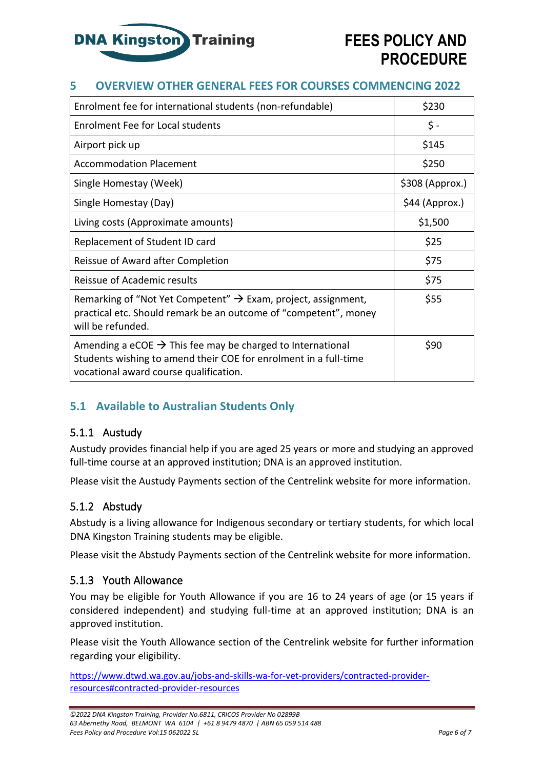

### **5 OVERVIEW OTHER GENERAL FEES FOR COURSES COMMENCING 2022**

| Enrolment fee for international students (non-refundable)                                                                                                                            | \$230           |
|--------------------------------------------------------------------------------------------------------------------------------------------------------------------------------------|-----------------|
| <b>Enrolment Fee for Local students</b>                                                                                                                                              | \$ -            |
| Airport pick up                                                                                                                                                                      | \$145           |
| <b>Accommodation Placement</b>                                                                                                                                                       | \$250           |
| Single Homestay (Week)                                                                                                                                                               | \$308 (Approx.) |
| Single Homestay (Day)                                                                                                                                                                | \$44 (Approx.)  |
| Living costs (Approximate amounts)                                                                                                                                                   | \$1,500         |
| Replacement of Student ID card                                                                                                                                                       | \$25            |
| Reissue of Award after Completion                                                                                                                                                    | \$75            |
| Reissue of Academic results                                                                                                                                                          | \$75            |
| Remarking of "Not Yet Competent" $\rightarrow$ Exam, project, assignment,<br>practical etc. Should remark be an outcome of "competent", money<br>will be refunded.                   | \$55            |
| Amending a eCOE $\rightarrow$ This fee may be charged to International<br>Students wishing to amend their COE for enrolment in a full-time<br>vocational award course qualification. | \$90            |

### **5.1 Available to Australian Students Only**

#### 5.1.1 Austudy

Austudy provides financial help if you are aged 25 years or more and studying an approved full-time course at an approved institution; DNA is an approved institution.

Please visit the [Austudy Payments section of the Centrelink website f](http://www.centrelink.gov.au/internet/internet.nsf/payments/austudy.htm)or more information.

### 5.1.2 Abstudy

Abstudy is a living allowance for Indigenous secondary or tertiary students, for which local DNA Kingston Training students may be eligible.

Please visit the [Abstudy Payments section of the Centrelink website f](http://www.centrelink.gov.au/internet/internet.nsf/payments/abstudy.htm)or more information.

#### 5.1.3 Youth Allowance

You may be eligible for Youth Allowance if you are 16 to 24 years of age (or 15 years if considered independent) and studying full-time at an approved institution; DNA is an approved institution.

Please visit the [Youth Allowance section of the Centrelink website f](http://www.centrelink.gov.au/internet/internet.nsf/payments/youth_allow.htm)or further information regarding your eligibility.

[https://www.dtwd.wa.gov.au/jobs-and-skills-wa-for-vet-providers/contracted-provider](https://www.dtwd.wa.gov.au/jobs-and-skills-wa-for-vet-providers/contracted-provider-resources#contracted-provider-resources)[resources#contracted-provider-resources](https://www.dtwd.wa.gov.au/jobs-and-skills-wa-for-vet-providers/contracted-provider-resources#contracted-provider-resources)